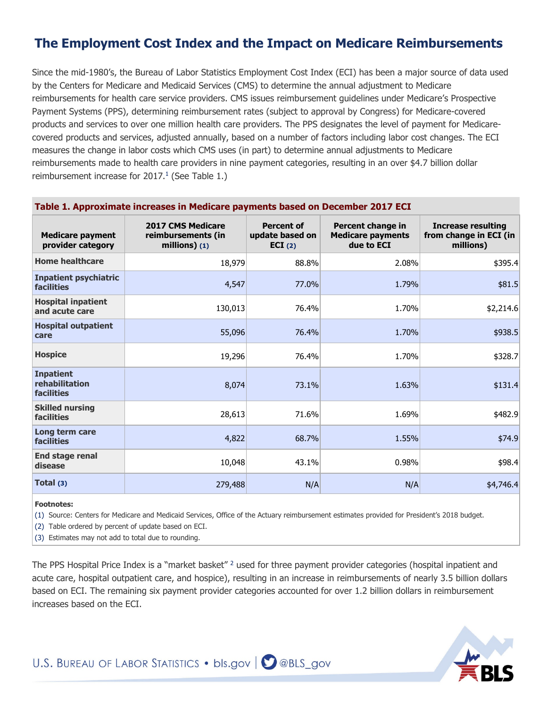# **The Employment Cost Index and the Impact on Medicare Reimbursements**

Since the mid-1980's, the Bureau of Labor Statistics Employment Cost Index (ECI) has been a major source of data used by the Centers for Medicare and Medicaid Services (CMS) to determine the annual adjustment to Medicare reimbursements for health care service providers. CMS issues reimbursement guidelines under Medicare's Prospective Payment Systems (PPS), determining reimbursement rates (subject to approval by Congress) for Medicare-covered products and services to over one million health care providers. The PPS designates the level of payment for Medicarecovered products and services, adjusted annually, based on a number of factors including labor cost changes. The ECI measures the change in labor costs which CMS uses (in part) to determine annual adjustments to Medicare reimbursements made to health care providers in nine payment categories, resulting in an over \$4.7 billion dollar reimbursement increase for 2017.<sup>1</sup> (See Table 1.)

| Table 1. Approximate increases in Medicare payments based on December 2017 ECI |                                                                 |                                                |                                                             |                                                           |  |  |  |
|--------------------------------------------------------------------------------|-----------------------------------------------------------------|------------------------------------------------|-------------------------------------------------------------|-----------------------------------------------------------|--|--|--|
| <b>Medicare payment</b><br>provider category                                   | <b>2017 CMS Medicare</b><br>reimbursements (in<br>millions) (1) | <b>Percent of</b><br>update based on<br>ECI(2) | Percent change in<br><b>Medicare payments</b><br>due to ECI | Increase resulting<br>from change in ECI (in<br>millions) |  |  |  |
| <b>Home healthcare</b>                                                         | 18,979                                                          | 88.8%                                          | 2.08%                                                       | \$395.4                                                   |  |  |  |
| <b>Inpatient psychiatric</b><br><b>facilities</b>                              | 4,547                                                           | 77.0%                                          | 1.79%                                                       | \$81.5                                                    |  |  |  |
| <b>Hospital inpatient</b><br>and acute care                                    | 130,013                                                         | 76.4%                                          | 1.70%                                                       | \$2,214.6                                                 |  |  |  |
| <b>Hospital outpatient</b><br>care                                             | 55,096                                                          | 76.4%                                          | 1.70%                                                       | \$938.5                                                   |  |  |  |
| <b>Hospice</b>                                                                 | 19,296                                                          | 76.4%                                          | 1.70%                                                       | \$328.7                                                   |  |  |  |
| <b>Inpatient</b><br>rehabilitation<br>facilities                               | 8,074                                                           | 73.1%                                          | 1.63%                                                       | \$131.4                                                   |  |  |  |
| <b>Skilled nursing</b><br>facilities                                           | 28,613                                                          | 71.6%                                          | 1.69%                                                       | \$482.9                                                   |  |  |  |
| Long term care<br><b>facilities</b>                                            | 4,822                                                           | 68.7%                                          | 1.55%                                                       | \$74.9                                                    |  |  |  |
| <b>End stage renal</b><br>disease                                              | 10,048                                                          | 43.1%                                          | 0.98%                                                       | \$98.4                                                    |  |  |  |
| Total (3)                                                                      | 279,488                                                         | N/A                                            | N/A                                                         | \$4,746.4                                                 |  |  |  |

#### **Footnotes:**

(1) Source: Centers for Medicare and Medicaid Services, Office of the Actuary reimbursement estimates provided for President's 2018 budget.

(2) Table ordered by percent of update based on ECI.

(3) Estimates may not add to total due to rounding.

The PPS Hospital Price Index is a "market basket" <sup>2</sup> used for three payment provider categories (hospital inpatient and acute care, hospital outpatient care, and hospice), resulting in an increase in reimbursements of nearly 3.5 billion dollars based on ECI. The remaining six payment provider categories accounted for over 1.2 billion dollars in reimbursement increases based on the ECI.